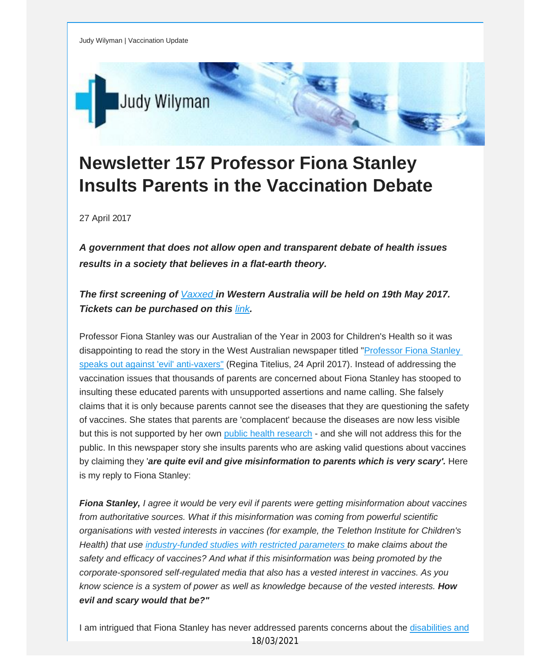Judy Wilyman | Vaccination Update



## **Newsletter 157 Professor Fiona Stanley Insults Parents in the Vaccination Debate**

27 April 2017

*A government that does not allow open and transparent debate of health issues results in a society that believes in a flat-earth theory.*

## *The first screening of [Vaxxed](http://vaccinationdecisions.us8.list-manage.com/track/click?u=f20605fde3732e41929f4a3f2&id=5e5c18b0e0&e=fec8337d3c) [i](http://vaccinationdecisions.us8.list-manage.com/track/click?u=f20605fde3732e41929f4a3f2&id=2532f92907&e=fec8337d3c)n Western Australia will be held on 19th May 2017. Tickets can be purchased on this [link](http://vaccinationdecisions.us8.list-manage.com/track/click?u=f20605fde3732e41929f4a3f2&id=288f67829a&e=fec8337d3c).*

Professor Fiona Stanley was our Australian of the Year in 2003 for Children's Health so it was disappointing to read the story in the West Australian newspaper titled "[Professor](http://vaccinationdecisions.us8.list-manage.com/track/click?u=f20605fde3732e41929f4a3f2&id=6c6dcef613&e=fec8337d3c) Fiona Stanley speaks out against 'evil' [anti-vaxers"](http://vaccinationdecisions.us8.list-manage.com/track/click?u=f20605fde3732e41929f4a3f2&id=6c6dcef613&e=fec8337d3c) (Regina Titelius, 24 April 2017). Instead of addressing the vaccination issues that thousands of parents are concerned about Fiona Stanley has stooped to insulting these educated parents with unsupported assertions and name calling. She falsely claims that it is only because parents cannot see the diseases that they are questioning the safety of vaccines. She states that parents are 'complacent' because the diseases are now less visible but this is not supported by her own public health [research](http://vaccinationdecisions.us8.list-manage.com/track/click?u=f20605fde3732e41929f4a3f2&id=bc6fe44bf3&e=fec8337d3c) - and she will not address this for the public. In this newspaper story she insults parents who are asking valid questions about vaccines by claiming they '*are quite evil and give misinformation to parents which is very scary'.* Here is my reply to Fiona Stanley:

*Fiona Stanley, I agree it would be very evil if parents were getting misinformation about vaccines from authoritative sources. What if this misinformation was coming from powerful scientific organisations with vested interests in vaccines (for example, the Telethon Institute for Children's Health) that use [industry-funded](http://vaccinationdecisions.us8.list-manage.com/track/click?u=f20605fde3732e41929f4a3f2&id=2c2e357f7e&e=fec8337d3c) studies with restricted parameters to make claims about the safety and efficacy of vaccines? And what if this misinformation was being promoted by the corporate-sponsored self-regulated media that also has a vested interest in vaccines. As you know science is a system of power as well as knowledge because of the vested interests. How evil and scary would that be?"*

I am intrigued that Fiona Stanley has never addressed parents concerns about the [disabilities](http://vaccinationdecisions.us8.list-manage.com/track/click?u=f20605fde3732e41929f4a3f2&id=8f07df8946&e=fec8337d3c) and 18/03/2021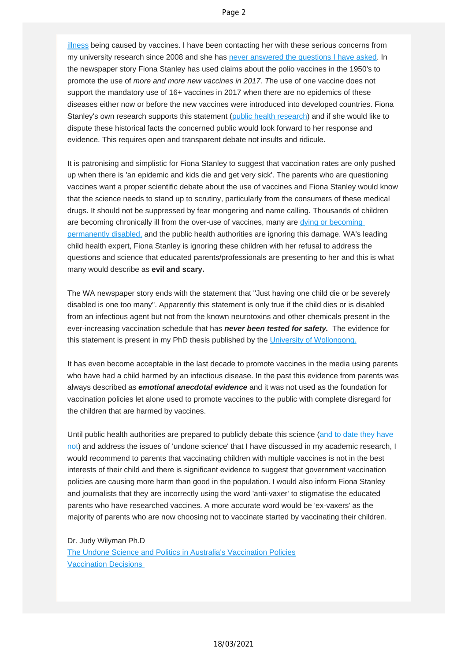illness being caused by vaccines. I have been contacting her with these serious concerns from my university research since 2008 and she has [never answered the questions I have asked.](http://vaccinationdecisions.us8.list-manage.com/track/click?u=f20605fde3732e41929f4a3f2&id=6ac622fb30&e=fec8337d3c) In the newspaper story Fiona Stanley has used claims about the polio vaccines in the 1950's to promote the use of *more and more new vaccines in 2017. T*he use of one vaccine does not support the mandatory use of 16+ vaccines in 2017 when there are no epidemics of these diseases either now or before the new vaccines were introduced into developed countries. Fiona Stanley's own research supports this statement ([public health research](http://vaccinationdecisions.us8.list-manage.com/track/click?u=f20605fde3732e41929f4a3f2&id=7afff163cf&e=fec8337d3c)) and if she would like to dispute these historical facts the concerned public would look forward to her response and evidence. This requires open and transparent debate not insults and ridicule.

It is patronising and simplistic for Fiona Stanley to suggest that vaccination rates are only pushed up when there is 'an epidemic and kids die and get very sick'. The parents who are questioning vaccines want a proper scientific debate about the use of vaccines and Fiona Stanley would know that the science needs to stand up to scrutiny, particularly from the consumers of these medical drugs. It should not be suppressed by fear mongering and name calling. Thousands of children are becoming chronically ill from the over-use of vaccines, many are [dying or becoming](http://vaccinationdecisions.us8.list-manage.com/track/click?u=f20605fde3732e41929f4a3f2&id=2f116cbd00&e=fec8337d3c)  [permanently disabled,](http://vaccinationdecisions.us8.list-manage.com/track/click?u=f20605fde3732e41929f4a3f2&id=2f116cbd00&e=fec8337d3c) and the public health authorities are ignoring this damage. WA's leading child health expert, Fiona Stanley is ignoring these children with her refusal to address the questions and science that educated parents/professionals are presenting to her and this is what many would describe as **evil and scary.** 

The WA newspaper story ends with the statement that "Just having one child die or be severely disabled is one too many". Apparently this statement is only true if the child dies or is disabled from an infectious agent but not from the known neurotoxins and other chemicals present in the ever-increasing vaccination schedule that has *never been tested for safety.* The evidence for this statement is present in my PhD thesis published by the [University of Wollongong.](http://vaccinationdecisions.us8.list-manage.com/track/click?u=f20605fde3732e41929f4a3f2&id=3450bf8c27&e=fec8337d3c)

It has even become acceptable in the last decade to promote vaccines in the media using parents who have had a child harmed by an infectious disease. In the past this evidence from parents was always described as *emotional anecdotal evidence* and it was not used as the foundation for vaccination policies let alone used to promote vaccines to the public with complete disregard for the children that are harmed by vaccines.

Until public health authorities are prepared to publicly debate this science [\(and to date they have](http://vaccinationdecisions.us8.list-manage.com/track/click?u=f20605fde3732e41929f4a3f2&id=bc4be5cb6c&e=fec8337d3c) [not](http://vaccinationdecisions.us8.list-manage.com/track/click?u=f20605fde3732e41929f4a3f2&id=bc4be5cb6c&e=fec8337d3c)) and address the issues of 'undone science' that I have discussed in my academic research, I would recommend to parents that vaccinating children with multiple vaccines is not in the best interests of their child and there is significant evidence to suggest that government vaccination policies are causing more harm than good in the population. I would also inform Fiona Stanley and journalists that they are incorrectly using the word 'anti-vaxer' to stigmatise the educated parents who have researched vaccines. A more accurate word would be 'ex-vaxers' as the majority of parents who are now choosing not to vaccinate started by vaccinating their children.

Dr. Judy Wilyman Ph.D [The Undone Science and Politics in Australia's Vaccination Policies](http://vaccinationdecisions.us8.list-manage.com/track/click?u=f20605fde3732e41929f4a3f2&id=a8e6d7f88e&e=fec8337d3c) [Vaccination Decisions](http://vaccinationdecisions.us8.list-manage.com/track/click?u=f20605fde3732e41929f4a3f2&id=e78f2e9446&e=fec8337d3c)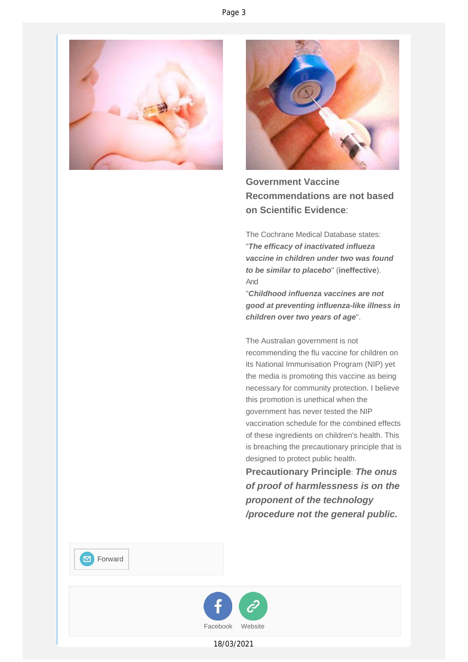



**Government Vaccine Recommendations are not based on Scientific Evidence**:

The Cochrane Medical Database states: "*The efficacy of inactivated influeza vaccine in children under two was found to be similar to placebo*" (**ineffective**). And

"*Childhood influenza vaccines are not good at preventing influenza-like illness in children over two years of age*".

The Australian government is not recommending the flu vaccine for children on its National Immunisation Program (NIP) yet the media is promoting this vaccine as being necessary for community protection. I believe this promotion is unethical when the government has never tested the NIP vaccination schedule for the combined effects of these ingredients on children's health. This is breaching the precautionary principle that is designed to protect public health.

**Precautionary Principle**: *The onus of proof of harmlessness is on the proponent of the technology /procedure not the general public.*

**M** [Forward](http://us8.forward-to-friend.com/forward?u=f20605fde3732e41929f4a3f2&id=9ff520725c&e=fec8337d3c)



18/03/2021